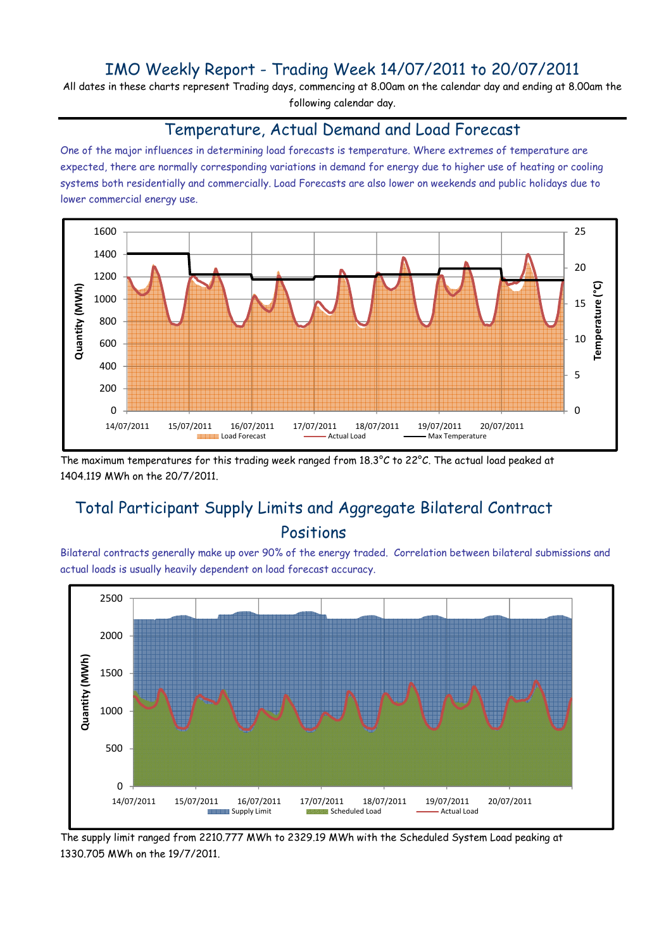### IMO Weekly Report - Trading Week 14/07/2011 to 20/07/2011

All dates in these charts represent Trading days, commencing at 8.00am on the calendar day and ending at 8.00am the following calendar day.

#### Temperature, Actual Demand and Load Forecast

One of the major influences in determining load forecasts is temperature. Where extremes of temperature are expected, there are normally corresponding variations in demand for energy due to higher use of heating or cooling systems both residentially and commercially. Load Forecasts are also lower on weekends and public holidays due to lower commercial energy use.



The maximum temperatures for this trading week ranged from 18.3°C to 22°C. The actual load peaked at 1404.119 MWh on the 20/7/2011.

# Total Participant Supply Limits and Aggregate Bilateral Contract Positions

Bilateral contracts generally make up over 90% of the energy traded. Correlation between bilateral submissions and actual loads is usually heavily dependent on load forecast accuracy.



The supply limit ranged from 2210.777 MWh to 2329.19 MWh with the Scheduled System Load peaking at 1330.705 MWh on the 19/7/2011.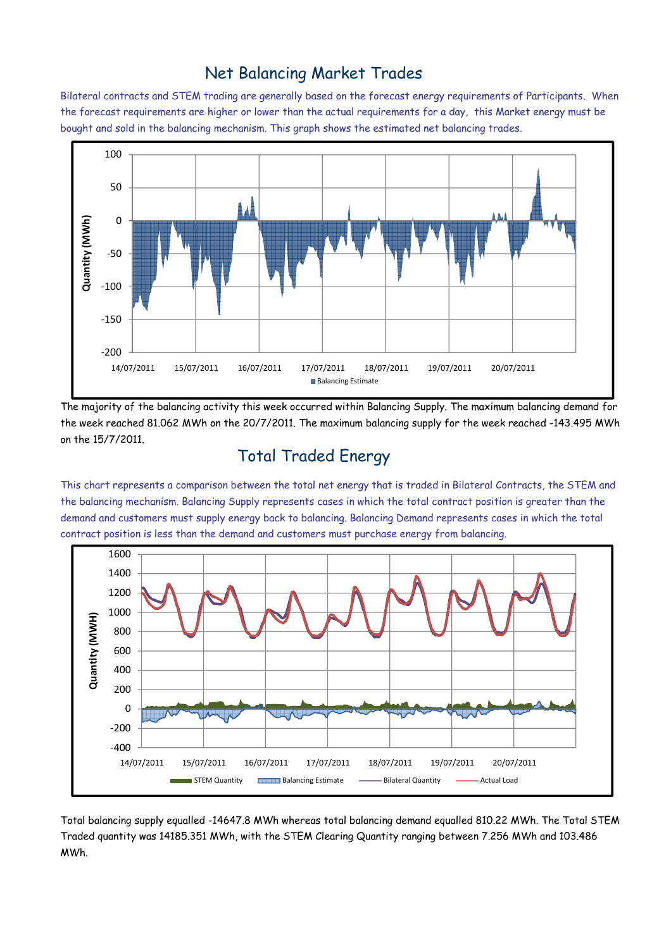### Net Balancing Market Trades

Bilateral contracts and STEM trading are generally based on the forecast energy requirements of Participants. When the forecast requirements are higher or lower than the actual requirements for a day, this Market energy must be bought and sold in the balancing mechanism. This graph shows the estimated net balancing trades.



The majority of the balancing activity this week occurred within Balancing Supply. The maximum balancing demand for the week reached 81.062 MWh on the 20/7/2011. The maximum balancing supply for the week reached -143.495 MWh on the 15/7/2011.

# Total Traded Energy

This chart represents a comparison between the total net energy that is traded in Bilateral Contracts, the STEM and the balancing mechanism. Balancing Supply represents cases in which the total contract position is greater than the demand and customers must supply energy back to balancing. Balancing Demand represents cases in which the total contract position is less than the demand and customers must purchase energy from balancing.



Total balancing supply equalled -14647.8 MWh whereas total balancing demand equalled 810.22 MWh. The Total STEM Traded quantity was 14185.351 MWh, with the STEM Clearing Quantity ranging between 7.256 MWh and 103.486 MWh.